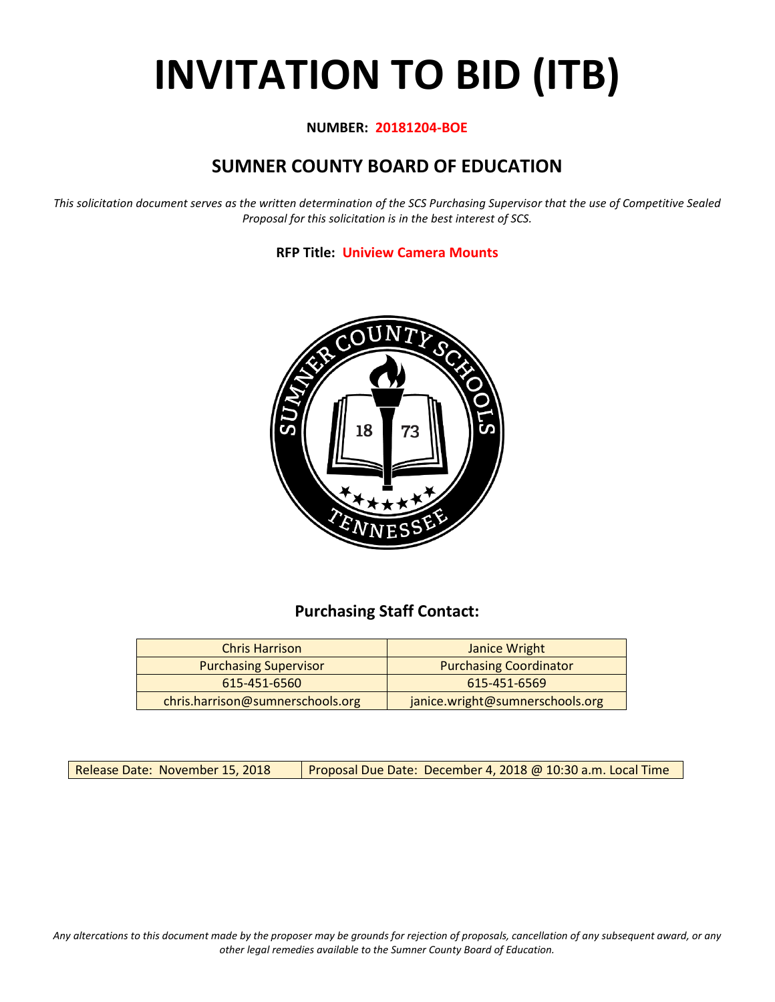# **INVITATION TO BID (ITB)**

## **NUMBER: 20181204-BOE**

# **SUMNER COUNTY BOARD OF EDUCATION**

*This solicitation document serves as the written determination of the SCS Purchasing Supervisor that the use of Competitive Sealed Proposal for this solicitation is in the best interest of SCS.*

**RFP Title: Uniview Camera Mounts**



# **Purchasing Staff Contact:**

| <b>Chris Harrison</b>            | Janice Wright                   |
|----------------------------------|---------------------------------|
| <b>Purchasing Supervisor</b>     | <b>Purchasing Coordinator</b>   |
| 615-451-6560                     | 615-451-6569                    |
| chris.harrison@sumnerschools.org | janice.wright@sumnerschools.org |

Release Date: November 15, 2018 | Proposal Due Date: December 4, 2018 @ 10:30 a.m. Local Time

*Any altercations to this document made by the proposer may be grounds for rejection of proposals, cancellation of any subsequent award, or any other legal remedies available to the Sumner County Board of Education.*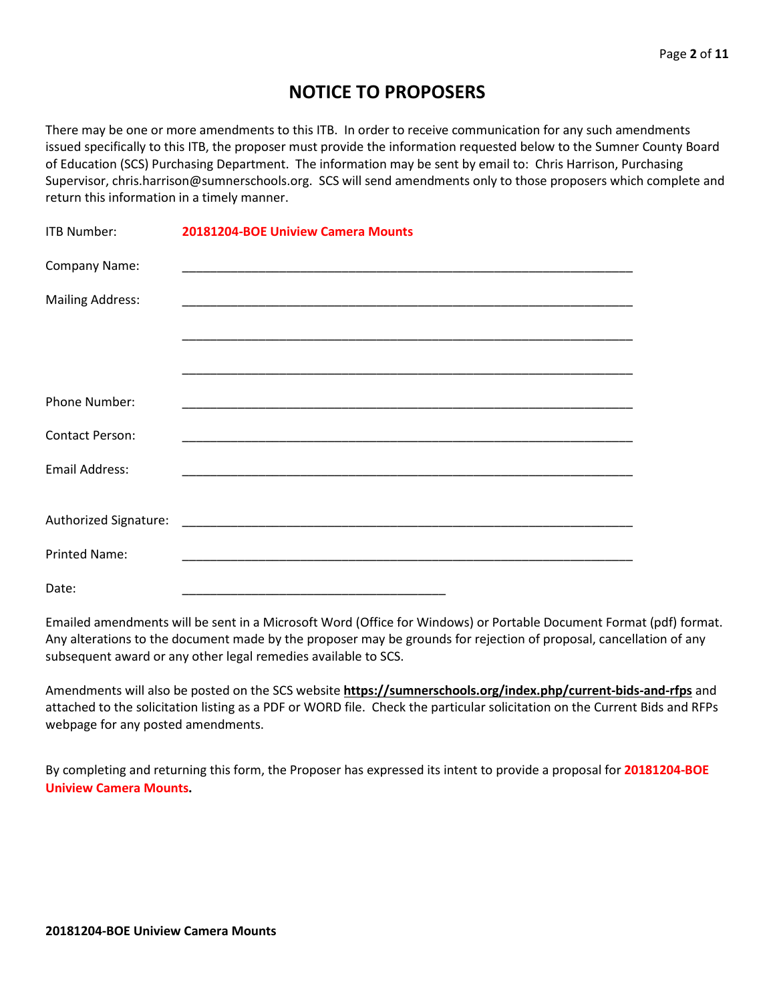# **NOTICE TO PROPOSERS**

There may be one or more amendments to this ITB. In order to receive communication for any such amendments issued specifically to this ITB, the proposer must provide the information requested below to the Sumner County Board of Education (SCS) Purchasing Department. The information may be sent by email to: Chris Harrison, Purchasing Supervisor, chris.harrison@sumnerschools.org. SCS will send amendments only to those proposers which complete and return this information in a timely manner.

| <b>ITB Number:</b>      | 20181204-BOE Uniview Camera Mounts |
|-------------------------|------------------------------------|
| Company Name:           |                                    |
| <b>Mailing Address:</b> |                                    |
|                         |                                    |
|                         |                                    |
| Phone Number:           |                                    |
| <b>Contact Person:</b>  |                                    |
| Email Address:          |                                    |
|                         |                                    |
|                         |                                    |
| <b>Printed Name:</b>    |                                    |
| Date:                   |                                    |

Emailed amendments will be sent in a Microsoft Word (Office for Windows) or Portable Document Format (pdf) format. Any alterations to the document made by the proposer may be grounds for rejection of proposal, cancellation of any subsequent award or any other legal remedies available to SCS.

Amendments will also be posted on the SCS website **https://sumnerschools.org/index.php/current-bids-and-rfps** and attached to the solicitation listing as a PDF or WORD file. Check the particular solicitation on the Current Bids and RFPs webpage for any posted amendments.

By completing and returning this form, the Proposer has expressed its intent to provide a proposal for **20181204-BOE Uniview Camera Mounts.**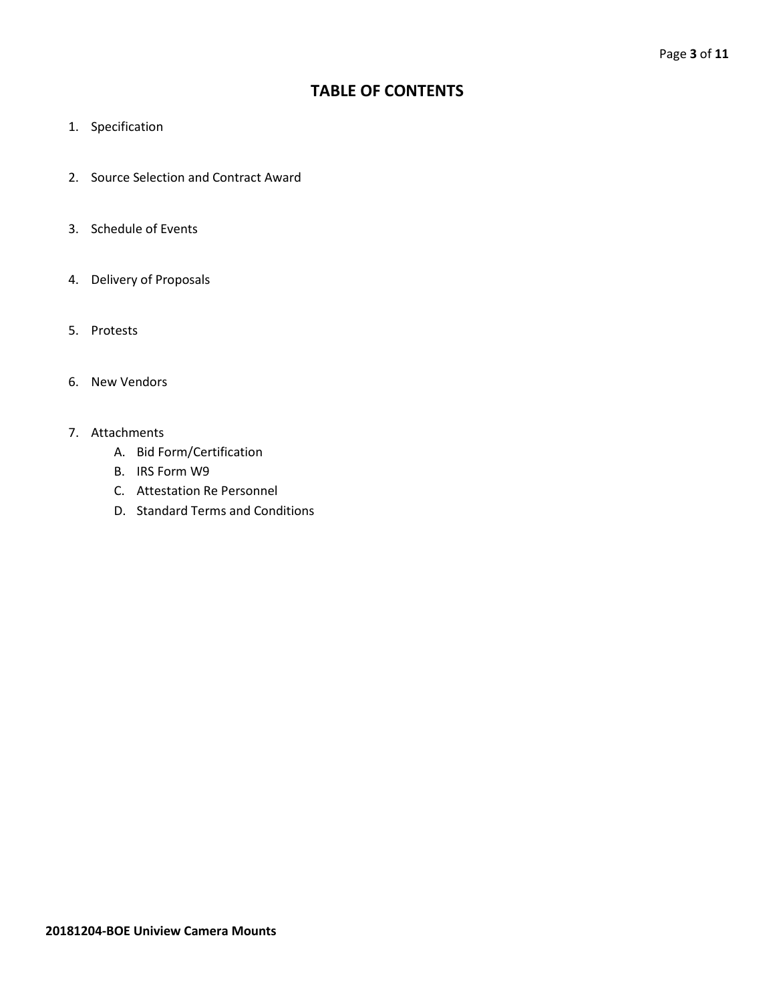# **TABLE OF CONTENTS**

- 1. Specification
- 2. Source Selection and Contract Award
- 3. Schedule of Events
- 4. Delivery of Proposals
- 5. Protests
- 6. New Vendors
- 7. Attachments
	- A. Bid Form/Certification
	- B. IRS Form W9
	- C. Attestation Re Personnel
	- D. Standard Terms and Conditions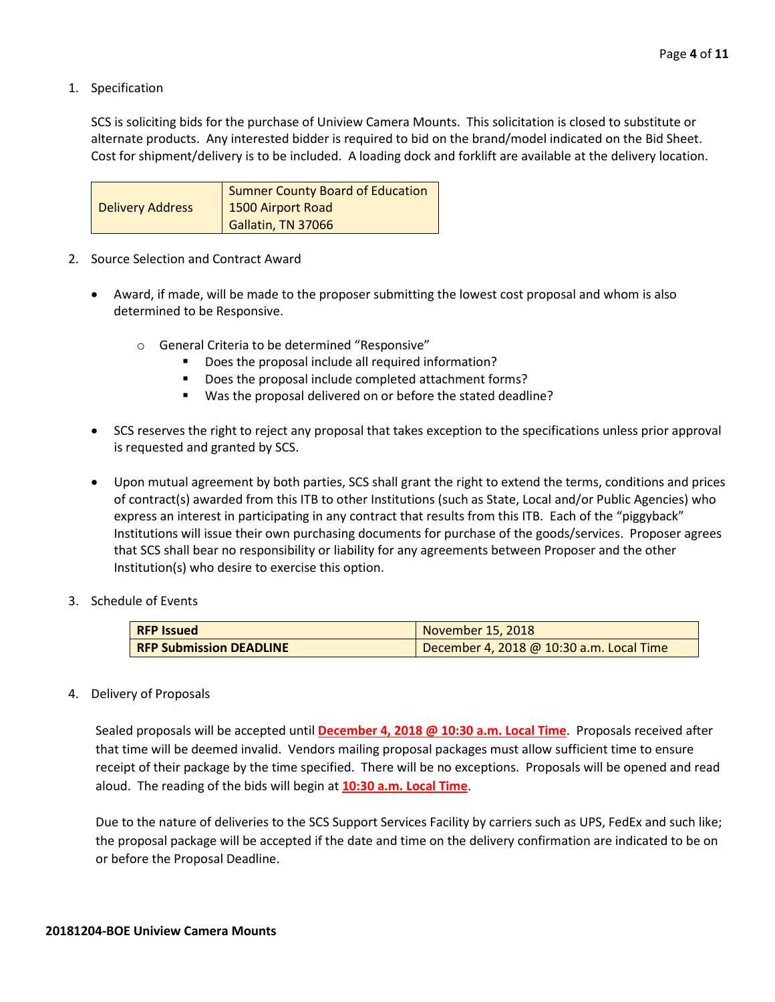1. Specification

SCS is soliciting bids for the purchase of Uniview Camera Mounts. This solicitation is closed to substitute or alternate products. Any interested bidder is required to bid on the brand/model indicated on the Bid Sheet. Cost for shipment/delivery is to be included. A loading dock and forklift are available at the delivery location.

|                         | Sumner County Board of Education |
|-------------------------|----------------------------------|
| <b>Delivery Address</b> | 1500 Airport Road                |
|                         | Gallatin, TN 37066               |

- 2. Source Selection and Contract Award
	- Award, if made, will be made to the proposer submitting the lowest cost proposal and whom is also determined to be Responsive.
		- o General Criteria to be determined "Responsive"
			- **Does the proposal include all required information?**
			- Does the proposal include completed attachment forms?
			- Was the proposal delivered on or before the stated deadline?
	- SCS reserves the right to reject any proposal that takes exception to the specifications unless prior approval is requested and granted by SCS.
	- Upon mutual agreement by both parties, SCS shall grant the right to extend the terms, conditions and prices of contract(s) awarded from this ITB to other Institutions (such as State, Local and/or Public Agencies) who express an interest in participating in any contract that results from this ITB. Each of the "piggyback" Institutions will issue their own purchasing documents for purchase of the goods/services. Proposer agrees that SCS shall bear no responsibility or liability for any agreements between Proposer and the other Institution(s) who desire to exercise this option.
- 3. Schedule of Events

| <b>RFP Issued</b>              | November 15, 2018                        |  |  |  |  |  |  |
|--------------------------------|------------------------------------------|--|--|--|--|--|--|
| <b>RFP Submission DEADLINE</b> | December 4, 2018 @ 10:30 a.m. Local Time |  |  |  |  |  |  |

#### 4. Delivery of Proposals

Sealed proposals will be accepted until **December 4, 2018 @ 10:30 a.m. Local Time**. Proposals received after that time will be deemed invalid. Vendors mailing proposal packages must allow sufficient time to ensure receipt of their package by the time specified. There will be no exceptions. Proposals will be opened and read aloud. The reading of the bids will begin at **10:30 a.m. Local Time**.

Due to the nature of deliveries to the SCS Support Services Facility by carriers such as UPS, FedEx and such like; the proposal package will be accepted if the date and time on the delivery confirmation are indicated to be on or before the Proposal Deadline.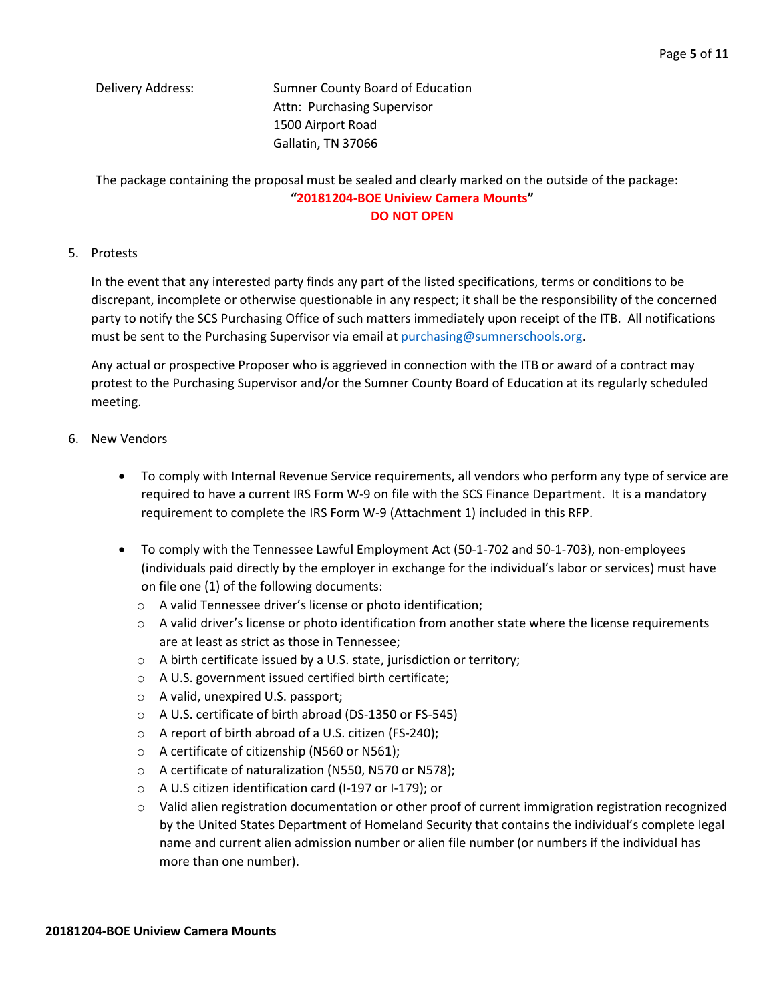Delivery Address: Sumner County Board of Education Attn: Purchasing Supervisor 1500 Airport Road Gallatin, TN 37066

The package containing the proposal must be sealed and clearly marked on the outside of the package:

## **"20181204-BOE Uniview Camera Mounts" DO NOT OPEN**

## 5. Protests

In the event that any interested party finds any part of the listed specifications, terms or conditions to be discrepant, incomplete or otherwise questionable in any respect; it shall be the responsibility of the concerned party to notify the SCS Purchasing Office of such matters immediately upon receipt of the ITB. All notifications must be sent to the Purchasing Supervisor via email at [purchasing@sumnerschools.org.](mailto:purchasing@sumnerschools.org)

Any actual or prospective Proposer who is aggrieved in connection with the ITB or award of a contract may protest to the Purchasing Supervisor and/or the Sumner County Board of Education at its regularly scheduled meeting.

## 6. New Vendors

- To comply with Internal Revenue Service requirements, all vendors who perform any type of service are required to have a current IRS Form W-9 on file with the SCS Finance Department. It is a mandatory requirement to complete the IRS Form W-9 (Attachment 1) included in this RFP.
- To comply with the Tennessee Lawful Employment Act (50-1-702 and 50-1-703), non-employees (individuals paid directly by the employer in exchange for the individual's labor or services) must have on file one (1) of the following documents:
	- o A valid Tennessee driver's license or photo identification;
	- $\circ$  A valid driver's license or photo identification from another state where the license requirements are at least as strict as those in Tennessee;
	- o A birth certificate issued by a U.S. state, jurisdiction or territory;
	- o A U.S. government issued certified birth certificate;
	- o A valid, unexpired U.S. passport;
	- o A U.S. certificate of birth abroad (DS-1350 or FS-545)
	- o A report of birth abroad of a U.S. citizen (FS-240);
	- o A certificate of citizenship (N560 or N561);
	- o A certificate of naturalization (N550, N570 or N578);
	- o A U.S citizen identification card (I-197 or I-179); or
	- o Valid alien registration documentation or other proof of current immigration registration recognized by the United States Department of Homeland Security that contains the individual's complete legal name and current alien admission number or alien file number (or numbers if the individual has more than one number).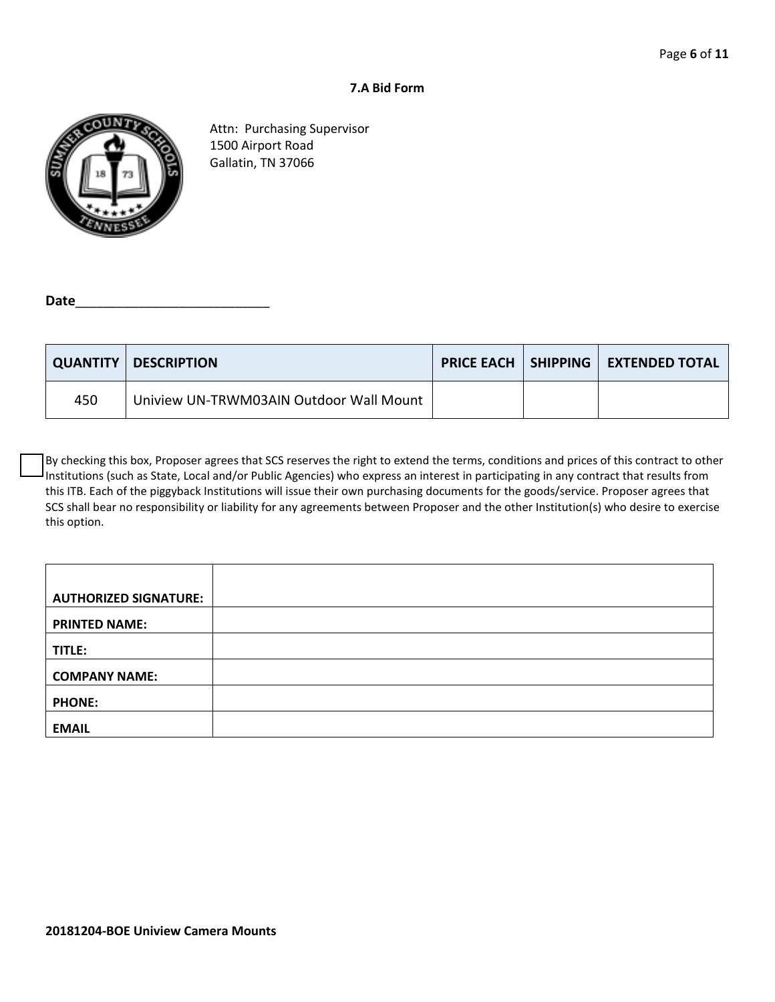## **7.A Bid Form**



Attn: Purchasing Supervisor 1500 Airport Road Gallatin, TN 37066

Date

|     | <b>QUANTITY   DESCRIPTION</b>           |  | <b>PRICE EACH   SHIPPING   EXTENDED TOTAL</b> |
|-----|-----------------------------------------|--|-----------------------------------------------|
| 450 | Uniview UN-TRWM03AIN Outdoor Wall Mount |  |                                               |

By checking this box, Proposer agrees that SCS reserves the right to extend the terms, conditions and prices of this contract to other Institutions (such as State, Local and/or Public Agencies) who express an interest in participating in any contract that results from this ITB. Each of the piggyback Institutions will issue their own purchasing documents for the goods/service. Proposer agrees that SCS shall bear no responsibility or liability for any agreements between Proposer and the other Institution(s) who desire to exercise this option.

| <b>AUTHORIZED SIGNATURE:</b> |  |
|------------------------------|--|
| <b>PRINTED NAME:</b>         |  |
| TITLE:                       |  |
| <b>COMPANY NAME:</b>         |  |
| <b>PHONE:</b>                |  |
| <b>EMAIL</b>                 |  |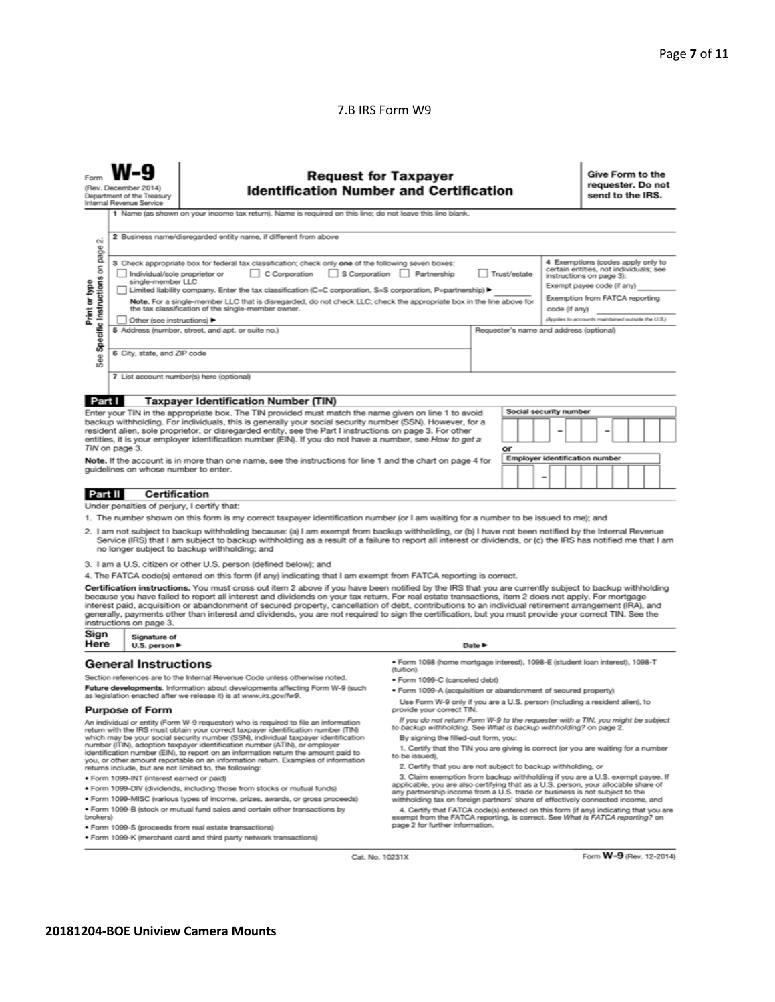### 7.B IRS Form W9

| Give Form to the<br><b>Request for Taxpayer</b><br>requester. Do not<br><b>Identification Number and Certification</b><br>(Rev. December 2014)<br>send to the IRS.<br>Department of the Treasury<br>Internal Revenue Service<br>1 Name (as shown on your income tax return). Name is required on this line; do not leave this line blank.                                                                                                                                                                                                                                                                                                                                                                                                                                                                                                                                                                                                                                                                                                                                                                                                                                                                                                             |  |                                                                                                                                                                                                                                                                                                                                                                                                                                                                                                                                                                                                                                                                                                                                                                                                                                                                                                                                                                                                                                                                                                                                                                                                  |  |  |  |  |  |  |  |  |                                                                                                                                                                                                                                                                                                                                                                                                                          |
|-------------------------------------------------------------------------------------------------------------------------------------------------------------------------------------------------------------------------------------------------------------------------------------------------------------------------------------------------------------------------------------------------------------------------------------------------------------------------------------------------------------------------------------------------------------------------------------------------------------------------------------------------------------------------------------------------------------------------------------------------------------------------------------------------------------------------------------------------------------------------------------------------------------------------------------------------------------------------------------------------------------------------------------------------------------------------------------------------------------------------------------------------------------------------------------------------------------------------------------------------------|--|--------------------------------------------------------------------------------------------------------------------------------------------------------------------------------------------------------------------------------------------------------------------------------------------------------------------------------------------------------------------------------------------------------------------------------------------------------------------------------------------------------------------------------------------------------------------------------------------------------------------------------------------------------------------------------------------------------------------------------------------------------------------------------------------------------------------------------------------------------------------------------------------------------------------------------------------------------------------------------------------------------------------------------------------------------------------------------------------------------------------------------------------------------------------------------------------------|--|--|--|--|--|--|--|--|--------------------------------------------------------------------------------------------------------------------------------------------------------------------------------------------------------------------------------------------------------------------------------------------------------------------------------------------------------------------------------------------------------------------------|
| 2 Business name/disregarded entity name, if different from above<br>οi<br>on page<br>3 Check appropriate box for federal tax classification; check only one of the following seven boxes:<br>Individual/sole proprietor or<br>C Corporation<br>S Corporation<br>Partnership<br>Trust/estate<br>instructions on page 3):<br>See Specific Instructions<br>single-member LLC<br>Print or type<br>Exempt payee code (if any)<br>Limited liability company. Enter the tax classification (C=C corporation, S=S corporation, P=partnership) ▶<br>Note. For a single-member LLC that is disregarded, do not check LLC; check the appropriate box in the line above for<br>the tax classification of the single-member owner.<br>code (if any)<br>Other (see instructions)<br>5 Address (number, street, and apt. or suite no.)<br>Requester's name and address (optional)<br>6 City, state, and ZIP code<br>7 List account number(s) here (optional)                                                                                                                                                                                                                                                                                                         |  |                                                                                                                                                                                                                                                                                                                                                                                                                                                                                                                                                                                                                                                                                                                                                                                                                                                                                                                                                                                                                                                                                                                                                                                                  |  |  |  |  |  |  |  |  |                                                                                                                                                                                                                                                                                                                                                                                                                          |
| Part I<br><b>Taxpayer Identification Number (TIN)</b><br>Social security number<br>Enter your TIN in the appropriate box. The TIN provided must match the name given on line 1 to avoid<br>backup withholding. For individuals, this is generally your social security number (SSN). However, for a<br>resident alien, sole proprietor, or disregarded entity, see the Part I instructions on page 3. For other<br>entities, it is your employer identification number (EIN). If you do not have a number, see How to get a<br>TIN on page 3.<br>or<br><b>Employer identification number</b><br>Note. If the account is in more than one name, see the instructions for line 1 and the chart on page 4 for<br>quidelines on whose number to enter.                                                                                                                                                                                                                                                                                                                                                                                                                                                                                                    |  |                                                                                                                                                                                                                                                                                                                                                                                                                                                                                                                                                                                                                                                                                                                                                                                                                                                                                                                                                                                                                                                                                                                                                                                                  |  |  |  |  |  |  |  |  |                                                                                                                                                                                                                                                                                                                                                                                                                          |
| Part II<br>Certification<br>Under penalties of perjury, I certify that:<br>1. The number shown on this form is my correct taxpayer identification number (or I am waiting for a number to be issued to me); and<br>2. I am not subject to backup withholding because: (a) I am exempt from backup withholding, or (b) I have not been notified by the Internal Revenue<br>Service (IRS) that I am subject to backup withholding as a result of a failure to report all interest or dividends, or (c) the IRS has notified me that I am<br>no longer subject to backup withholding; and<br>3. I am a U.S. citizen or other U.S. person (defined below); and<br>4. The FATCA code(s) entered on this form (if any) indicating that I am exempt from FATCA reporting is correct.<br>Certification instructions. You must cross out item 2 above if you have been notified by the IRS that you are currently subject to backup withholding<br>because you have failed to report all interest and dividends on your tax return. For real estate transactions, item 2 does not apply. For mortgage<br>interest paid, acquisition or abandonment of secured property, cancellation of debt, contributions to an individual retirement arrangement (IRA), and |  |                                                                                                                                                                                                                                                                                                                                                                                                                                                                                                                                                                                                                                                                                                                                                                                                                                                                                                                                                                                                                                                                                                                                                                                                  |  |  |  |  |  |  |  |  |                                                                                                                                                                                                                                                                                                                                                                                                                          |
| instructions on page 3.<br>Sign<br>Signature of<br>Here<br>U.S. person $\blacktriangleright$<br>Date P                                                                                                                                                                                                                                                                                                                                                                                                                                                                                                                                                                                                                                                                                                                                                                                                                                                                                                                                                                                                                                                                                                                                                |  |                                                                                                                                                                                                                                                                                                                                                                                                                                                                                                                                                                                                                                                                                                                                                                                                                                                                                                                                                                                                                                                                                                                                                                                                  |  |  |  |  |  |  |  |  |                                                                                                                                                                                                                                                                                                                                                                                                                          |
| <b>General Instructions</b><br>Section references are to the Internal Revenue Code unless otherwise noted.<br>Future developments. Information about developments affecting Form W-9 (such<br>as legislation enacted after we release it) is at www.irs.gov/fw9.<br><b>Purpose of Form</b><br>An individual or entity (Form W-9 requester) who is required to file an information<br>return with the IRS must obtain your correct taxpayer identification number (TIN)<br>which may be your social security number (SSN), individual taxpayer identification<br>number (ITIN), adoption taxpayer identification number (ATIN), or employer<br>identification number (EIN), to report on an information return the amount paid to<br>you, or other amount reportable on an information return. Examples of information<br>returns include, but are not limited to, the following:<br>· Form 1099-INT (interest earned or paid)<br>. Form 1099-DIV (dividends, including those from stocks or mutual funds)<br>* Form 1099-MISC (various types of income, prizes, awards, or gross proceeds)<br>. Form 1099-B (stock or mutual fund sales and certain other transactions by<br>brokers)                                                                 |  | · Form 1098 (home mortgage interest), 1098-E (student Ioan interest), 1098-T<br>(tuition)<br>· Form 1099-C (canceled debt)<br>· Form 1099-A (acquisition or abandonment of secured property)<br>Use Form W-9 only if you are a U.S. person (including a resident alien), to<br>provide your correct TIN.<br>If you do not return Form W-9 to the requester with a TIN, you might be subject<br>to backup withholding. See What is backup withholding? on page 2.<br>By signing the filled-out form, you:<br>1. Certify that the TIN you are giving is correct (or you are waiting for a number<br>to be issued).<br>2. Certify that you are not subject to backup withholding, or<br>3. Claim exemption from backup withholding if you are a U.S. exempt payee. If<br>applicable, you are also certifying that as a U.S. person, your allocable share of<br>any partnership income from a U.S. trade or business is not subject to the<br>withholding tax on foreign partners' share of effectively connected income, and<br>4. Certify that FATCA code(s) entered on this form (if any) indicating that you are<br>exempt from the FATCA reporting, is correct. See What is FATCA reporting? on |  |  |  |  |  |  |  |  |                                                                                                                                                                                                                                                                                                                                                                                                                          |
|                                                                                                                                                                                                                                                                                                                                                                                                                                                                                                                                                                                                                                                                                                                                                                                                                                                                                                                                                                                                                                                                                                                                                                                                                                                       |  |                                                                                                                                                                                                                                                                                                                                                                                                                                                                                                                                                                                                                                                                                                                                                                                                                                                                                                                                                                                                                                                                                                                                                                                                  |  |  |  |  |  |  |  |  | 4 Exemptions (codes apply only to<br>certain entities, not individuals; see<br>Exemption from FATCA reporting<br>(Applies to accounts maintained outside the U.S.)<br>generally, payments other than interest and dividends, you are not required to sign the certification, but you must provide your correct TIN. See the<br>page 2 for further information.<br>· Form 1099-S (proceeds from real estate transactions) |

Cat. No. 10231X

Form **W-9** (Rev. 12-2014)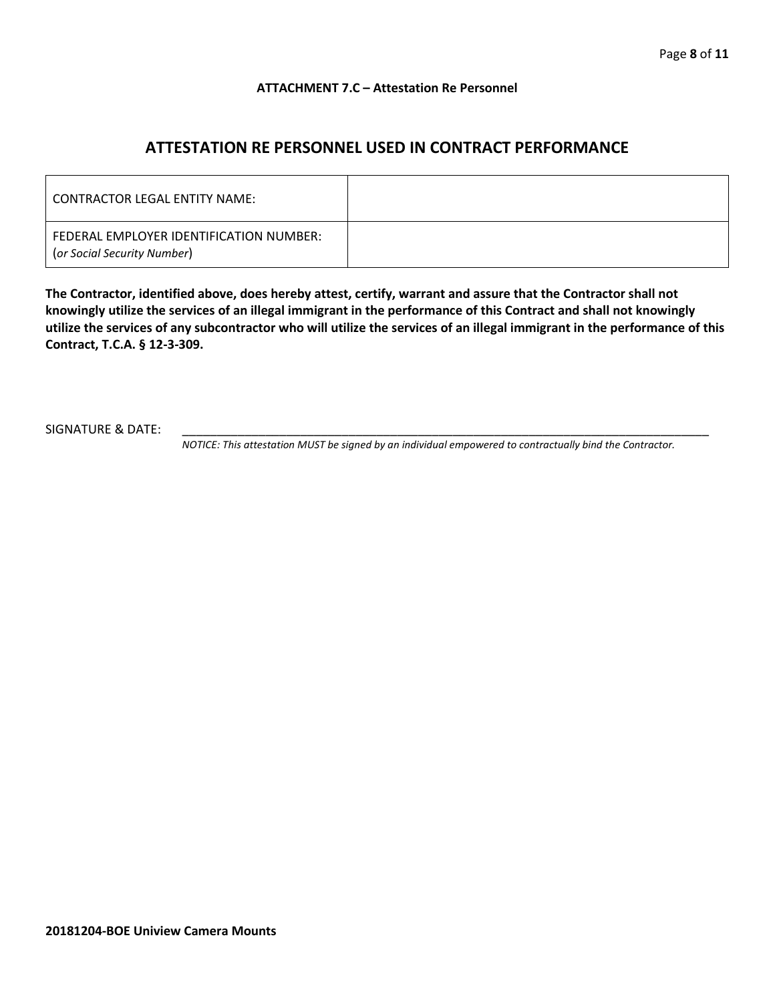#### **ATTACHMENT 7.C – Attestation Re Personnel**

# **ATTESTATION RE PERSONNEL USED IN CONTRACT PERFORMANCE**

| CONTRACTOR LEGAL ENTITY NAME:                                          |  |
|------------------------------------------------------------------------|--|
| FEDERAL EMPLOYER IDENTIFICATION NUMBER:<br>(or Social Security Number) |  |

**The Contractor, identified above, does hereby attest, certify, warrant and assure that the Contractor shall not knowingly utilize the services of an illegal immigrant in the performance of this Contract and shall not knowingly utilize the services of any subcontractor who will utilize the services of an illegal immigrant in the performance of this Contract, T.C.A. § 12-3-309.**

SIGNATURE & DATE:

*NOTICE: This attestation MUST be signed by an individual empowered to contractually bind the Contractor.*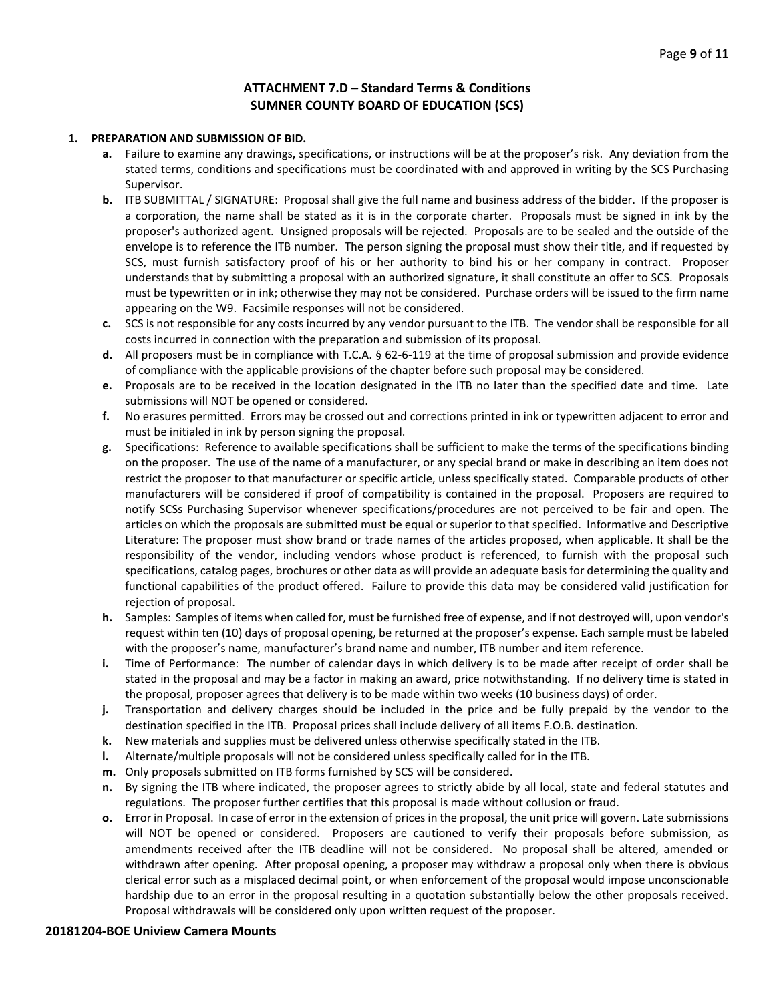### **ATTACHMENT 7.D – Standard Terms & Conditions SUMNER COUNTY BOARD OF EDUCATION (SCS)**

#### **1. PREPARATION AND SUBMISSION OF BID.**

- **a.** Failure to examine any drawings**,** specifications, or instructions will be at the proposer's risk. Any deviation from the stated terms, conditions and specifications must be coordinated with and approved in writing by the SCS Purchasing Supervisor.
- **b.** ITB SUBMITTAL / SIGNATURE: Proposal shall give the full name and business address of the bidder. If the proposer is a corporation, the name shall be stated as it is in the corporate charter. Proposals must be signed in ink by the proposer's authorized agent. Unsigned proposals will be rejected. Proposals are to be sealed and the outside of the envelope is to reference the ITB number. The person signing the proposal must show their title, and if requested by SCS, must furnish satisfactory proof of his or her authority to bind his or her company in contract. Proposer understands that by submitting a proposal with an authorized signature, it shall constitute an offer to SCS. Proposals must be typewritten or in ink; otherwise they may not be considered. Purchase orders will be issued to the firm name appearing on the W9. Facsimile responses will not be considered.
- **c.** SCS is not responsible for any costs incurred by any vendor pursuant to the ITB. The vendor shall be responsible for all costs incurred in connection with the preparation and submission of its proposal.
- **d.** All proposers must be in compliance with T.C.A. § 62-6-119 at the time of proposal submission and provide evidence of compliance with the applicable provisions of the chapter before such proposal may be considered.
- **e.** Proposals are to be received in the location designated in the ITB no later than the specified date and time. Late submissions will NOT be opened or considered.
- **f.** No erasures permitted. Errors may be crossed out and corrections printed in ink or typewritten adjacent to error and must be initialed in ink by person signing the proposal.
- **g.** Specifications: Reference to available specifications shall be sufficient to make the terms of the specifications binding on the proposer. The use of the name of a manufacturer, or any special brand or make in describing an item does not restrict the proposer to that manufacturer or specific article, unless specifically stated. Comparable products of other manufacturers will be considered if proof of compatibility is contained in the proposal. Proposers are required to notify SCSs Purchasing Supervisor whenever specifications/procedures are not perceived to be fair and open. The articles on which the proposals are submitted must be equal or superior to that specified. Informative and Descriptive Literature: The proposer must show brand or trade names of the articles proposed, when applicable. It shall be the responsibility of the vendor, including vendors whose product is referenced, to furnish with the proposal such specifications, catalog pages, brochures or other data as will provide an adequate basis for determining the quality and functional capabilities of the product offered. Failure to provide this data may be considered valid justification for rejection of proposal.
- **h.** Samples: Samples of items when called for, must be furnished free of expense, and if not destroyed will, upon vendor's request within ten (10) days of proposal opening, be returned at the proposer's expense. Each sample must be labeled with the proposer's name, manufacturer's brand name and number, ITB number and item reference.
- **i.** Time of Performance: The number of calendar days in which delivery is to be made after receipt of order shall be stated in the proposal and may be a factor in making an award, price notwithstanding. If no delivery time is stated in the proposal, proposer agrees that delivery is to be made within two weeks (10 business days) of order.
- **j.** Transportation and delivery charges should be included in the price and be fully prepaid by the vendor to the destination specified in the ITB. Proposal prices shall include delivery of all items F.O.B. destination.
- **k.** New materials and supplies must be delivered unless otherwise specifically stated in the ITB.
- **l.** Alternate/multiple proposals will not be considered unless specifically called for in the ITB.
- **m.** Only proposals submitted on ITB forms furnished by SCS will be considered.
- **n.** By signing the ITB where indicated, the proposer agrees to strictly abide by all local, state and federal statutes and regulations. The proposer further certifies that this proposal is made without collusion or fraud.
- **o.** Error in Proposal. In case of error in the extension of prices in the proposal, the unit price will govern. Late submissions will NOT be opened or considered. Proposers are cautioned to verify their proposals before submission, as amendments received after the ITB deadline will not be considered. No proposal shall be altered, amended or withdrawn after opening. After proposal opening, a proposer may withdraw a proposal only when there is obvious clerical error such as a misplaced decimal point, or when enforcement of the proposal would impose unconscionable hardship due to an error in the proposal resulting in a quotation substantially below the other proposals received. Proposal withdrawals will be considered only upon written request of the proposer.

#### **20181204-BOE Uniview Camera Mounts**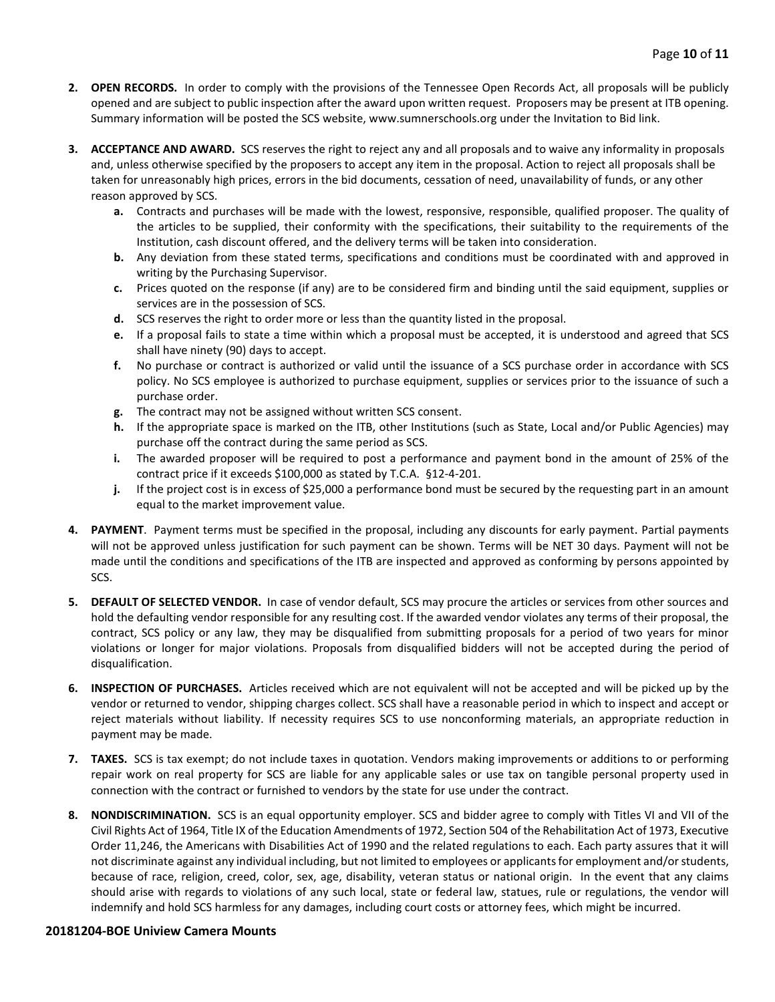- **2. OPEN RECORDS.** In order to comply with the provisions of the Tennessee Open Records Act, all proposals will be publicly opened and are subject to public inspection after the award upon written request. Proposers may be present at ITB opening. Summary information will be posted the SCS website, www.sumnerschools.org under the Invitation to Bid link.
- **3. ACCEPTANCE AND AWARD.** SCS reserves the right to reject any and all proposals and to waive any informality in proposals and, unless otherwise specified by the proposers to accept any item in the proposal. Action to reject all proposals shall be taken for unreasonably high prices, errors in the bid documents, cessation of need, unavailability of funds, or any other reason approved by SCS.
	- **a.** Contracts and purchases will be made with the lowest, responsive, responsible, qualified proposer. The quality of the articles to be supplied, their conformity with the specifications, their suitability to the requirements of the Institution, cash discount offered, and the delivery terms will be taken into consideration.
	- **b.** Any deviation from these stated terms, specifications and conditions must be coordinated with and approved in writing by the Purchasing Supervisor.
	- **c.** Prices quoted on the response (if any) are to be considered firm and binding until the said equipment, supplies or services are in the possession of SCS.
	- **d.** SCS reserves the right to order more or less than the quantity listed in the proposal.
	- **e.** If a proposal fails to state a time within which a proposal must be accepted, it is understood and agreed that SCS shall have ninety (90) days to accept.
	- **f.** No purchase or contract is authorized or valid until the issuance of a SCS purchase order in accordance with SCS policy. No SCS employee is authorized to purchase equipment, supplies or services prior to the issuance of such a purchase order.
	- **g.** The contract may not be assigned without written SCS consent.
	- **h.** If the appropriate space is marked on the ITB, other Institutions (such as State, Local and/or Public Agencies) may purchase off the contract during the same period as SCS.
	- **i.** The awarded proposer will be required to post a performance and payment bond in the amount of 25% of the contract price if it exceeds \$100,000 as stated by T.C.A. §12-4-201.
	- **j.** If the project cost is in excess of \$25,000 a performance bond must be secured by the requesting part in an amount equal to the market improvement value.
- **4. PAYMENT**. Payment terms must be specified in the proposal, including any discounts for early payment. Partial payments will not be approved unless justification for such payment can be shown. Terms will be NET 30 days. Payment will not be made until the conditions and specifications of the ITB are inspected and approved as conforming by persons appointed by SCS.
- **5. DEFAULT OF SELECTED VENDOR.** In case of vendor default, SCS may procure the articles or services from other sources and hold the defaulting vendor responsible for any resulting cost. If the awarded vendor violates any terms of their proposal, the contract, SCS policy or any law, they may be disqualified from submitting proposals for a period of two years for minor violations or longer for major violations. Proposals from disqualified bidders will not be accepted during the period of disqualification.
- **6. INSPECTION OF PURCHASES.** Articles received which are not equivalent will not be accepted and will be picked up by the vendor or returned to vendor, shipping charges collect. SCS shall have a reasonable period in which to inspect and accept or reject materials without liability. If necessity requires SCS to use nonconforming materials, an appropriate reduction in payment may be made.
- **7. TAXES.** SCS is tax exempt; do not include taxes in quotation. Vendors making improvements or additions to or performing repair work on real property for SCS are liable for any applicable sales or use tax on tangible personal property used in connection with the contract or furnished to vendors by the state for use under the contract.
- **8. NONDISCRIMINATION.** SCS is an equal opportunity employer. SCS and bidder agree to comply with Titles VI and VII of the Civil Rights Act of 1964, Title IX of the Education Amendments of 1972, Section 504 of the Rehabilitation Act of 1973, Executive Order 11,246, the Americans with Disabilities Act of 1990 and the related regulations to each. Each party assures that it will not discriminate against any individual including, but not limited to employees or applicants for employment and/or students, because of race, religion, creed, color, sex, age, disability, veteran status or national origin. In the event that any claims should arise with regards to violations of any such local, state or federal law, statues, rule or regulations, the vendor will indemnify and hold SCS harmless for any damages, including court costs or attorney fees, which might be incurred.

#### **20181204-BOE Uniview Camera Mounts**